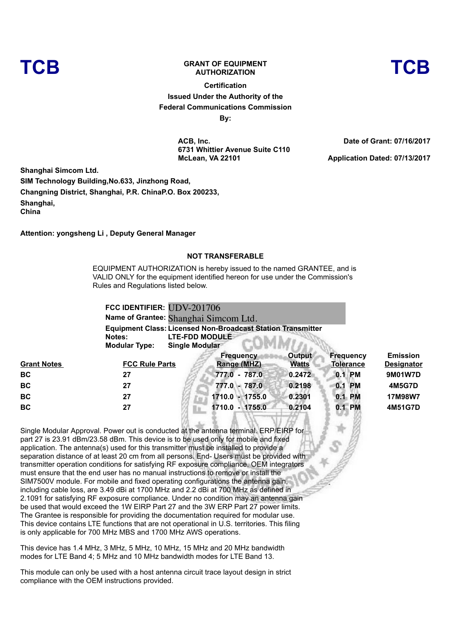## **TCB GRANT OF EQUIPMENT** ANT OF EQUIPMENT<br>AUTHORIZATION

**Certification Issued Under the Authority of the Federal Communications Commission By:**

> **ACB, Inc. 6731 Whittier Avenue Suite C110 McLean, VA 22101**

**Date of Grant: 07/16/2017**

**Application Dated: 07/13/2017**

**Shanghai Simcom Ltd. SIM Technology Building,No.633, Jinzhong Road, Changning District, Shanghai, P.R. ChinaP.O. Box 200233, Shanghai, China**

**Attention: yongsheng Li , Deputy General Manager**

## **NOT TRANSFERABLE**

EQUIPMENT AUTHORIZATION is hereby issued to the named GRANTEE, and is VALID ONLY for the equipment identified hereon for use under the Commission's Rules and Regulations listed below.

|                       | FCC IDENTIFIER: UDV-201706                                                                                                                   |
|-----------------------|----------------------------------------------------------------------------------------------------------------------------------------------|
|                       | Name of Grantee: Shanghai Simcom Ltd.                                                                                                        |
|                       | <b>Equipment Class: Licensed Non-Broadcast Station Transmitter</b>                                                                           |
| Notes:                | <b>LTE-FDD MODULE</b>                                                                                                                        |
| <b>Modular Type:</b>  | Single Modular                                                                                                                               |
| <b>ECC Pulo Parte</b> | <b>Frequency</b><br><b>Emission</b><br>Output<br><b>Frequency</b><br>P <sub>2</sub> na(ML7)<br><b>Matte</b><br>Toloranco<br><b>Docianato</b> |

| <b>Grant Notes</b> | <b>FCC Rule Parts</b> | Range (MHZ)     | <b>Watts</b> | <b>Tolerance</b> | <b>Designator</b> |
|--------------------|-----------------------|-----------------|--------------|------------------|-------------------|
| <b>BC</b>          | 27                    | 777.0 - 787.0   | 0.2472       | 0.1 PM           | 9M01W7D           |
| <b>BC</b>          | 27                    | 777.0 - 787.0   | 0.2198       | <b>PM</b><br>0.1 | 4M5G7D            |
| <b>BC</b>          | 27                    | 1710.0 - 1755.0 | 0.2301       | 0.1 PM           | 17M98W7           |
| <b>BC</b>          | 27                    | 1710.0 - 1755.0 | 0.2104       | 0.1 PM           | 4M51G7D           |
|                    |                       |                 |              |                  |                   |

Single Modular Approval. Power out is conducted at the antenna terminal. ERP/EIRP for part 27 is 23.91 dBm/23.58 dBm. This device is to be used only for mobile and fixed application. The antenna(s) used for this transmitter must be installed to provide a separation distance of at least 20 cm from all persons. End- Users must be provided with transmitter operation conditions for satisfying RF exposure compliance. OEM integrators must ensure that the end user has no manual instructions to remove or install the SIM7500V module. For mobile and fixed operating configurations the antenna gain, including cable loss, are 3.49 dBi at 1700 MHz and 2.2 dBi at 700 MHz as defined in 2.1091 for satisfying RF exposure compliance. Under no condition may an antenna gain be used that would exceed the 1W EIRP Part 27 and the 3W ERP Part 27 power limits. The Grantee is responsible for providing the documentation required for modular use. This device contains LTE functions that are not operational in U.S. territories. This filing is only applicable for 700 MHz MBS and 1700 MHz AWS operations.

This device has 1.4 MHz, 3 MHz, 5 MHz, 10 MHz, 15 MHz and 20 MHz bandwidth modes for LTE Band 4; 5 MHz and 10 MHz bandwidth modes for LTE Band 13.

This module can only be used with a host antenna circuit trace layout design in strict compliance with the OEM instructions provided.